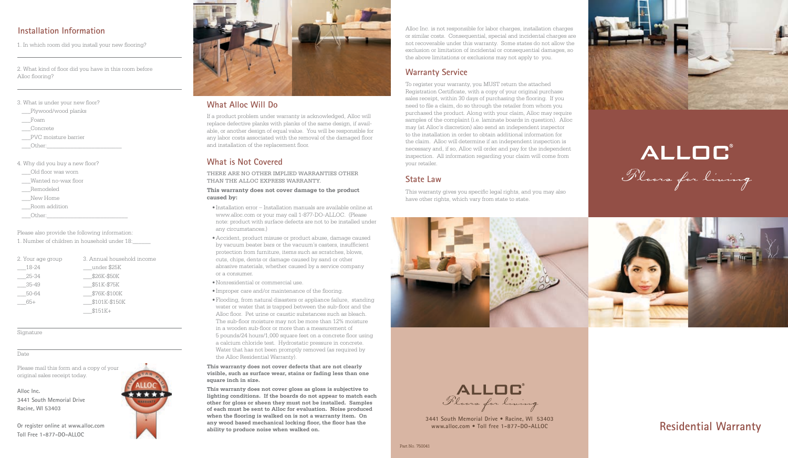# **Installation Information**

1. In which room did you install your new flooring?

2. What kind of floor did you have in this room before Alloc flooring?

 $\overline{a}$ 

 $\overline{a}$ 

### 3. What is under your new floor?

- \_\_\_Plywood/wood planks
- \_\_\_Foam
- \_\_\_Concrete
- \_\_\_PVC moisture barrier

 $\rule{1em}{0}$   $\rule{1em}{0}$   $\qquad$   $\rule{1em}{0}$   $\qquad$   $\qquad$   $\qquad$   $\qquad$   $\qquad$   $\qquad$   $\qquad$   $\qquad$   $\qquad$   $\qquad$   $\qquad$   $\qquad$   $\qquad$   $\qquad$   $\qquad$   $\qquad$   $\qquad$   $\qquad$   $\qquad$   $\qquad$   $\qquad$   $\qquad$   $\qquad$   $\qquad$   $\qquad$   $\qquad$   $\qquad$   $\qquad$   $\qquad$   $\qquad$   $\$ 

4. Why did you buy a new floor?

\_\_\_Old floor was worn

\_\_\_Wanted no-wax floor

\_\_\_Remodeled

New Home

\_\_\_Room addition

 $\rule{1em}{0}$   $\rule{1em}{0}$   $\qquad$   $\rule{1em}{0}$   $\qquad$   $\qquad$   $\qquad$   $\qquad$   $\qquad$   $\qquad$   $\qquad$   $\qquad$   $\qquad$   $\qquad$   $\qquad$   $\qquad$   $\qquad$   $\qquad$   $\qquad$   $\qquad$   $\qquad$   $\qquad$   $\qquad$   $\qquad$   $\qquad$   $\qquad$   $\qquad$   $\qquad$   $\qquad$   $\qquad$   $\qquad$   $\qquad$   $\qquad$   $\qquad$   $\$ 

Please also provide the following information:

1. Number of children in household under 18:\_\_\_\_\_\_

| 2. Your age group | 3. Annual household income |
|-------------------|----------------------------|
| 18-24             | under \$25K                |
| 25-34             | \$26K-\$50K                |
| $35-49$           | \$51K-\$75K                |
| 50-64             | \$76K-\$100K               |
| 65+               | \$101K-\$150K              |
|                   | $$151K+$                   |

 $\overline{a}$ 

 $\overline{a}$ 

Signature

### Date

Please mail this form and a copy of your original sales receipt today.

**Alloc Inc. 3441 South Memorial Drive Racine, WI 53403**

**Or register online at www.alloc.com Toll Free 1-877-DO-ALLOC**





# **What Alloc Will Do**

If a product problem under warranty is acknowledged, Alloc will replace defective planks with planks of the same design, if avail able, or another design of equal value. You will be responsible for any labor costs associated with the removal of the damaged floor and installation of the replacement floor.

# **What is Not Covered**

THERE ARE NO OTHER IMPLIED WARRANTIES OTHER THAN THE ALLOC EXPRESS WARRANTY.

### **This warranty does not cover damage to the product caused by:**

- • Installation error Installation manuals are available online at www.alloc.com or your may call 1-877-DO-ALLOC. (Please note: product with surface defects are not to be installed under any circumstances.)
- • Accident, product misuse or product abuse, damage caused by vacuum beater bars or the vacuum's casters, insufficient protection from furniture, items such as scratches, blows, cuts, chips, dents or damage caused by sand or other abrasive materials, whether caused by a service company or a consumer.
- • Nonresidential or commercial use.
- • Improper care and/or maintenance of the flooring.
- • Flooding, from natural disasters or appliance failure, standing water or water that is trapped between the sub-floor and the Alloc floor. Pet urine or caustic substances such as bleach. The sub-floor moisture may not be more than 12% moisture in a wooden sub-floor or more than a measurement of 5 pounds/24 hours/1,000 square feet on a concrete floor using a calcium chloride test. Hydrostatic pressure in concrete. Water that has not been promptly removed (as required by the Alloc Residential Warranty).

### **This warranty does not cover defects that are not clearly visible, such as surface wear, stains or fading less than one square inch in size.**

**This warranty does not cover gloss as gloss is subjective to lighting conditions. If the boards do not appear to match each other for gloss or sheen they must not be installed. Samples of each must be sent to Alloc for evaluation. Noise produced when the flooring is walked on is not a warranty item. On any wood based mechanical locking floor, the floor has the ability to produce noise when walked on.**

Alloc Inc. is not responsible for labor charges, installation charges or similar costs. Consequential, special and incidental charges are not recoverable under this warranty. Some states do not allow the exclusion or limitation of incidental or consequential damages, so the above limitations or exclusions may not apply to you.

# **Warranty Service**

To register your warranty, you MUST return the attached Registration Certificate, with a copy of your original purchase sales receipt, within 30 days of purchasing the flooring. If you need to file a claim, do so through the retailer from whom you purchased the product. Along with your claim, Alloc may require samples of the complaint (i.e. laminate boards in question). Alloc may (at Alloc's discretion) also send an independent inspector to the installation in order to obtain additional information for the claim. Alloc will determine if an independent inspection is necessary and, if so, Alloc will order and pay for the independent inspection. All information regarding your claim will come from your retailer.

# **State Law**

This warranty gives you specific legal rights, and you may also have other rights, which vary from state to state.





**3441 South Memorial Drive • Racine, WI 53403 www.alloc.com • Toll free 1-877-DO-ALLOC**





ALLOC°